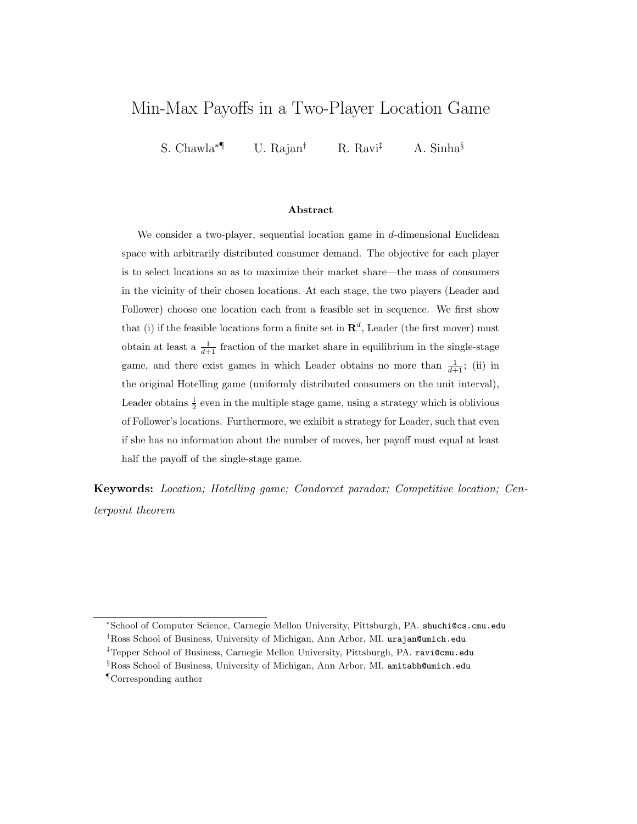# Min-Max Payoffs in a Two-Player Location Game

S. Chawla<sup>∗¶</sup> U. Rajan<sup>†</sup> R. Ravi<sup>‡</sup> A. Sinha<sup>§</sup>

### Abstract

We consider a two-player, sequential location game in  $d$ -dimensional Euclidean space with arbitrarily distributed consumer demand. The objective for each player is to select locations so as to maximize their market share—the mass of consumers in the vicinity of their chosen locations. At each stage, the two players (Leader and Follower) choose one location each from a feasible set in sequence. We first show that (i) if the feasible locations form a finite set in  $\mathbb{R}^d$ , Leader (the first mover) must obtain at least a  $\frac{1}{d+1}$  fraction of the market share in equilibrium in the single-stage game, and there exist games in which Leader obtains no more than  $\frac{1}{d+1}$ ; (ii) in the original Hotelling game (uniformly distributed consumers on the unit interval), Leader obtains  $\frac{1}{2}$  even in the multiple stage game, using a strategy which is oblivious of Follower's locations. Furthermore, we exhibit a strategy for Leader, such that even if she has no information about the number of moves, her payoff must equal at least half the payoff of the single-stage game.

Keywords: Location; Hotelling game; Condorcet paradox; Competitive location; Centerpoint theorem

<sup>∗</sup>School of Computer Science, Carnegie Mellon University, Pittsburgh, PA. shuchi@cs.cmu.edu †Ross School of Business, University of Michigan, Ann Arbor, MI. urajan@umich.edu

<sup>‡</sup>Tepper School of Business, Carnegie Mellon University, Pittsburgh, PA. ravi@cmu.edu

<sup>§</sup>Ross School of Business, University of Michigan, Ann Arbor, MI. amitabh@umich.edu

<sup>¶</sup>Corresponding author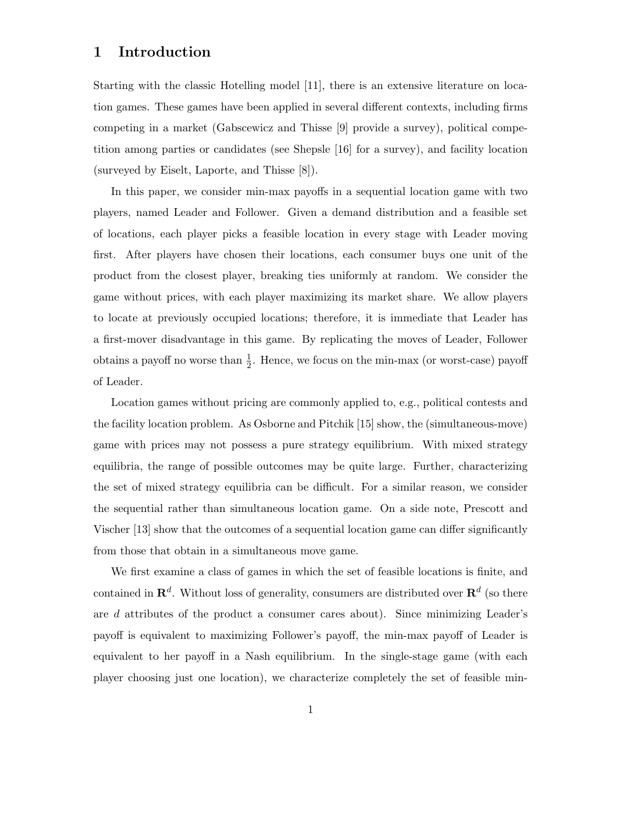## 1 Introduction

Starting with the classic Hotelling model [11], there is an extensive literature on location games. These games have been applied in several different contexts, including firms competing in a market (Gabscewicz and Thisse [9] provide a survey), political competition among parties or candidates (see Shepsle [16] for a survey), and facility location (surveyed by Eiselt, Laporte, and Thisse [8]).

In this paper, we consider min-max payoffs in a sequential location game with two players, named Leader and Follower. Given a demand distribution and a feasible set of locations, each player picks a feasible location in every stage with Leader moving first. After players have chosen their locations, each consumer buys one unit of the product from the closest player, breaking ties uniformly at random. We consider the game without prices, with each player maximizing its market share. We allow players to locate at previously occupied locations; therefore, it is immediate that Leader has a first-mover disadvantage in this game. By replicating the moves of Leader, Follower obtains a payoff no worse than  $\frac{1}{2}$ . Hence, we focus on the min-max (or worst-case) payoff of Leader.

Location games without pricing are commonly applied to, e.g., political contests and the facility location problem. As Osborne and Pitchik [15] show, the (simultaneous-move) game with prices may not possess a pure strategy equilibrium. With mixed strategy equilibria, the range of possible outcomes may be quite large. Further, characterizing the set of mixed strategy equilibria can be difficult. For a similar reason, we consider the sequential rather than simultaneous location game. On a side note, Prescott and Vischer [13] show that the outcomes of a sequential location game can differ significantly from those that obtain in a simultaneous move game.

We first examine a class of games in which the set of feasible locations is finite, and contained in  $\mathbf{R}^d$ . Without loss of generality, consumers are distributed over  $\mathbf{R}^d$  (so there are d attributes of the product a consumer cares about). Since minimizing Leader's payoff is equivalent to maximizing Follower's payoff, the min-max payoff of Leader is equivalent to her payoff in a Nash equilibrium. In the single-stage game (with each player choosing just one location), we characterize completely the set of feasible min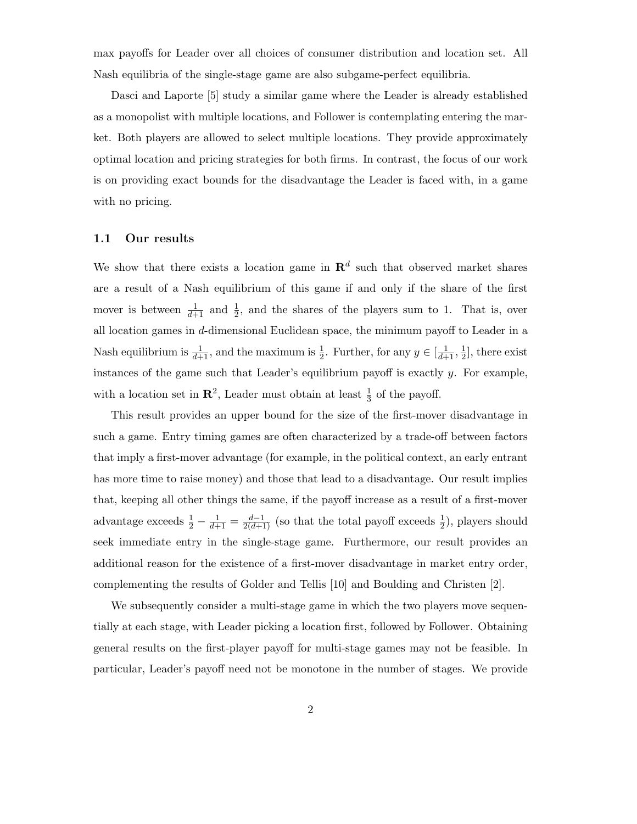max payoffs for Leader over all choices of consumer distribution and location set. All Nash equilibria of the single-stage game are also subgame-perfect equilibria.

Dasci and Laporte [5] study a similar game where the Leader is already established as a monopolist with multiple locations, and Follower is contemplating entering the market. Both players are allowed to select multiple locations. They provide approximately optimal location and pricing strategies for both firms. In contrast, the focus of our work is on providing exact bounds for the disadvantage the Leader is faced with, in a game with no pricing.

### 1.1 Our results

We show that there exists a location game in  $\mathbb{R}^d$  such that observed market shares are a result of a Nash equilibrium of this game if and only if the share of the first mover is between  $\frac{1}{d+1}$  and  $\frac{1}{2}$ , and the shares of the players sum to 1. That is, over all location games in d-dimensional Euclidean space, the minimum payoff to Leader in a Nash equilibrium is  $\frac{1}{d+1}$ , and the maximum is  $\frac{1}{2}$ . Further, for any  $y \in [\frac{1}{d+1}, \frac{1}{2}]$  $\frac{1}{2}$ , there exist instances of the game such that Leader's equilibrium payoff is exactly  $y$ . For example, with a location set in  $\mathbb{R}^2$ , Leader must obtain at least  $\frac{1}{3}$  of the payoff.

This result provides an upper bound for the size of the first-mover disadvantage in such a game. Entry timing games are often characterized by a trade-off between factors that imply a first-mover advantage (for example, in the political context, an early entrant has more time to raise money) and those that lead to a disadvantage. Our result implies that, keeping all other things the same, if the payoff increase as a result of a first-mover advantage exceeds  $\frac{1}{2} - \frac{1}{d+1} = \frac{d-1}{2(d+1)}$  (so that the total payoff exceeds  $\frac{1}{2}$ ), players should seek immediate entry in the single-stage game. Furthermore, our result provides an additional reason for the existence of a first-mover disadvantage in market entry order, complementing the results of Golder and Tellis [10] and Boulding and Christen [2].

We subsequently consider a multi-stage game in which the two players move sequentially at each stage, with Leader picking a location first, followed by Follower. Obtaining general results on the first-player payoff for multi-stage games may not be feasible. In particular, Leader's payoff need not be monotone in the number of stages. We provide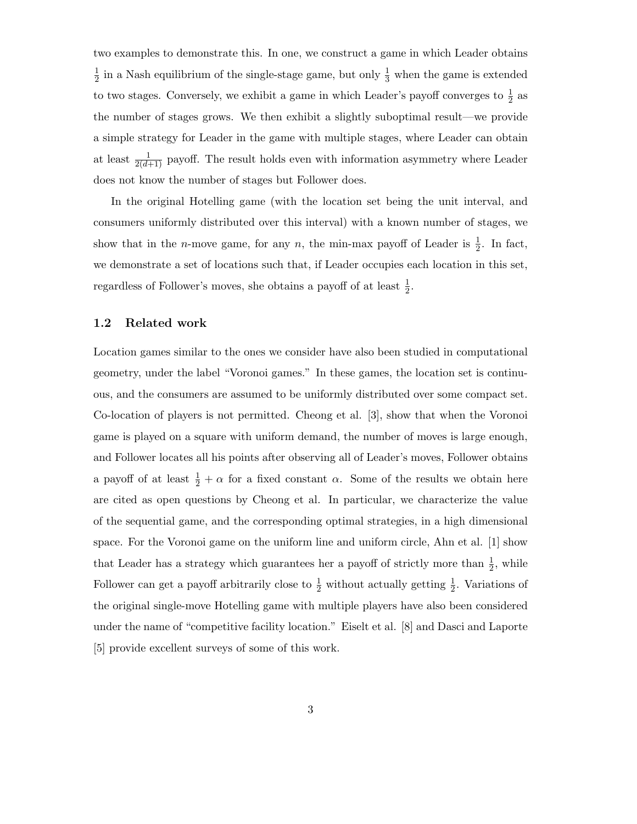two examples to demonstrate this. In one, we construct a game in which Leader obtains 1  $\frac{1}{2}$  in a Nash equilibrium of the single-stage game, but only  $\frac{1}{3}$  when the game is extended to two stages. Conversely, we exhibit a game in which Leader's payoff converges to  $\frac{1}{2}$  as the number of stages grows. We then exhibit a slightly suboptimal result—we provide a simple strategy for Leader in the game with multiple stages, where Leader can obtain at least  $\frac{1}{2(d+1)}$  payoff. The result holds even with information asymmetry where Leader does not know the number of stages but Follower does.

In the original Hotelling game (with the location set being the unit interval, and consumers uniformly distributed over this interval) with a known number of stages, we show that in the *n*-move game, for any *n*, the min-max payoff of Leader is  $\frac{1}{2}$ . In fact, we demonstrate a set of locations such that, if Leader occupies each location in this set, regardless of Follower's moves, she obtains a payoff of at least  $\frac{1}{2}$ .

### 1.2 Related work

Location games similar to the ones we consider have also been studied in computational geometry, under the label "Voronoi games." In these games, the location set is continuous, and the consumers are assumed to be uniformly distributed over some compact set. Co-location of players is not permitted. Cheong et al. [3], show that when the Voronoi game is played on a square with uniform demand, the number of moves is large enough, and Follower locates all his points after observing all of Leader's moves, Follower obtains a payoff of at least  $\frac{1}{2} + \alpha$  for a fixed constant  $\alpha$ . Some of the results we obtain here are cited as open questions by Cheong et al. In particular, we characterize the value of the sequential game, and the corresponding optimal strategies, in a high dimensional space. For the Voronoi game on the uniform line and uniform circle, Ahn et al. [1] show that Leader has a strategy which guarantees her a payoff of strictly more than  $\frac{1}{2}$ , while Follower can get a payoff arbitrarily close to  $\frac{1}{2}$  without actually getting  $\frac{1}{2}$ . Variations of the original single-move Hotelling game with multiple players have also been considered under the name of "competitive facility location." Eiselt et al. [8] and Dasci and Laporte [5] provide excellent surveys of some of this work.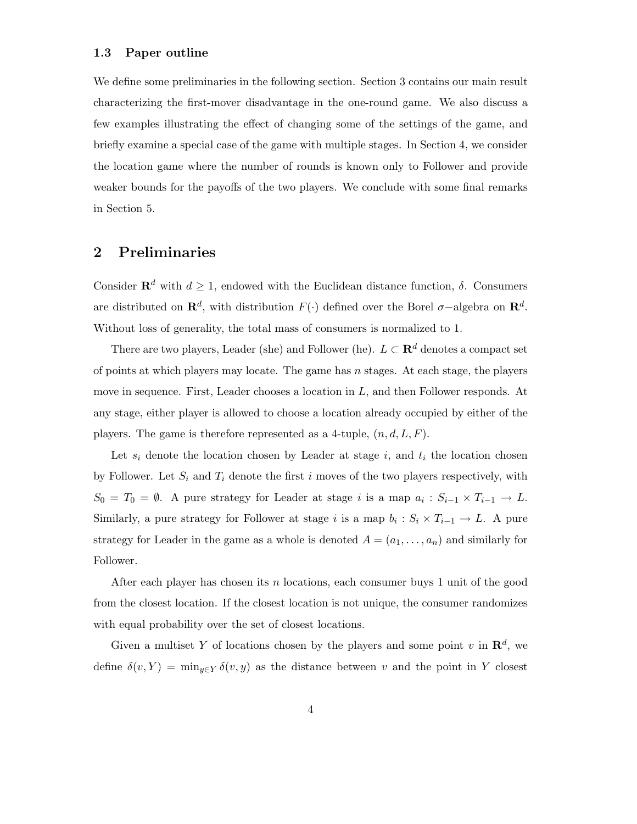### 1.3 Paper outline

We define some preliminaries in the following section. Section 3 contains our main result characterizing the first-mover disadvantage in the one-round game. We also discuss a few examples illustrating the effect of changing some of the settings of the game, and briefly examine a special case of the game with multiple stages. In Section 4, we consider the location game where the number of rounds is known only to Follower and provide weaker bounds for the payoffs of the two players. We conclude with some final remarks in Section 5.

## 2 Preliminaries

Consider  $\mathbf{R}^d$  with  $d \geq 1$ , endowed with the Euclidean distance function,  $\delta$ . Consumers are distributed on  $\mathbf{R}^d$ , with distribution  $F(\cdot)$  defined over the Borel  $\sigma$ -algebra on  $\mathbf{R}^d$ . Without loss of generality, the total mass of consumers is normalized to 1.

There are two players, Leader (she) and Follower (he).  $L \subset \mathbf{R}^d$  denotes a compact set of points at which players may locate. The game has  $n$  stages. At each stage, the players move in sequence. First, Leader chooses a location in L, and then Follower responds. At any stage, either player is allowed to choose a location already occupied by either of the players. The game is therefore represented as a 4-tuple,  $(n, d, L, F)$ .

Let  $s_i$  denote the location chosen by Leader at stage i, and  $t_i$  the location chosen by Follower. Let  $S_i$  and  $T_i$  denote the first i moves of the two players respectively, with  $S_0 = T_0 = \emptyset$ . A pure strategy for Leader at stage *i* is a map  $a_i : S_{i-1} \times T_{i-1} \to L$ . Similarly, a pure strategy for Follower at stage *i* is a map  $b_i : S_i \times T_{i-1} \to L$ . A pure strategy for Leader in the game as a whole is denoted  $A = (a_1, \ldots, a_n)$  and similarly for Follower.

After each player has chosen its  $n$  locations, each consumer buys 1 unit of the good from the closest location. If the closest location is not unique, the consumer randomizes with equal probability over the set of closest locations.

Given a multiset Y of locations chosen by the players and some point v in  $\mathbb{R}^d$ , we define  $\delta(v, Y) = \min_{y \in Y} \delta(v, y)$  as the distance between v and the point in Y closest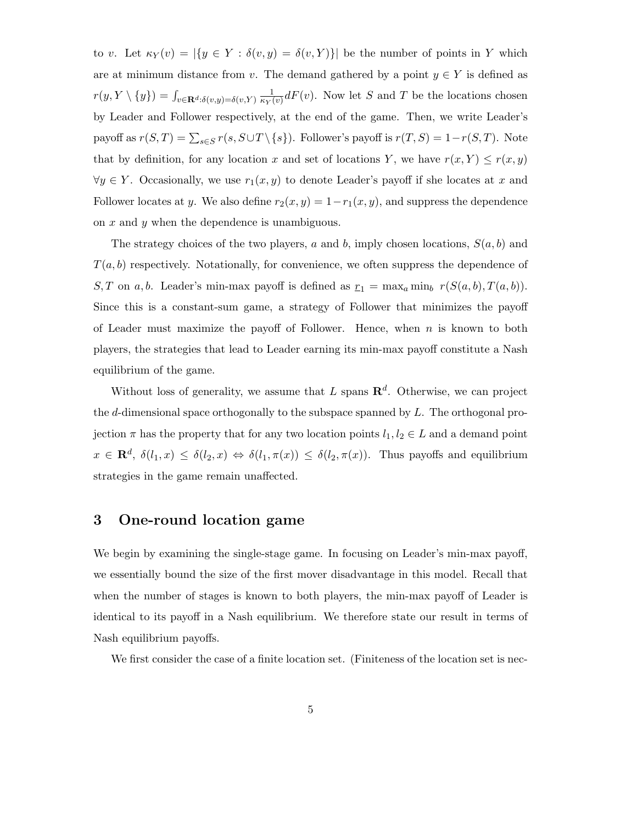to v. Let  $\kappa_Y(v) = |\{y \in Y : \delta(v, y) = \delta(v, Y)\}|$  be the number of points in Y which are at minimum distance from v. The demand gathered by a point  $y \in Y$  is defined as  $r(y, Y \setminus \{y\}) = \int_{v \in \mathbf{R}^d : \delta(v, y) = \delta(v, Y)} \frac{1}{\kappa_Y(v)} dF(v)$ . Now let S and T be the locations chosen by Leader and Follower respectively, at the end of the game. Then, we write Leader's payoff as  $r(S,T) = \sum_{s \in S} r(s, S \cup T \setminus \{s\})$ . Follower's payoff is  $r(T, S) = 1-r(S, T)$ . Note that by definition, for any location x and set of locations Y, we have  $r(x, Y) \le r(x, y)$  $\forall y \in Y$ . Occasionally, we use  $r_1(x, y)$  to denote Leader's payoff if she locates at x and Follower locates at y. We also define  $r_2(x, y) = 1 - r_1(x, y)$ , and suppress the dependence on  $x$  and  $y$  when the dependence is unambiguous.

The strategy choices of the two players, a and b, imply chosen locations,  $S(a, b)$  and  $T(a, b)$  respectively. Notationally, for convenience, we often suppress the dependence of S, T on a, b. Leader's min-max payoff is defined as  $r_1 = \max_a \min_b r(S(a, b), T(a, b)).$ Since this is a constant-sum game, a strategy of Follower that minimizes the payoff of Leader must maximize the payoff of Follower. Hence, when  $n$  is known to both players, the strategies that lead to Leader earning its min-max payoff constitute a Nash equilibrium of the game.

Without loss of generality, we assume that L spans  $\mathbb{R}^d$ . Otherwise, we can project the d-dimensional space orthogonally to the subspace spanned by  $L$ . The orthogonal projection  $\pi$  has the property that for any two location points  $l_1, l_2 \in L$  and a demand point  $x \in \mathbf{R}^d$ ,  $\delta(l_1, x) \leq \delta(l_2, x) \Leftrightarrow \delta(l_1, \pi(x)) \leq \delta(l_2, \pi(x))$ . Thus payoffs and equilibrium strategies in the game remain unaffected.

## 3 One-round location game

We begin by examining the single-stage game. In focusing on Leader's min-max payoff, we essentially bound the size of the first mover disadvantage in this model. Recall that when the number of stages is known to both players, the min-max payoff of Leader is identical to its payoff in a Nash equilibrium. We therefore state our result in terms of Nash equilibrium payoffs.

We first consider the case of a finite location set. (Finiteness of the location set is nec-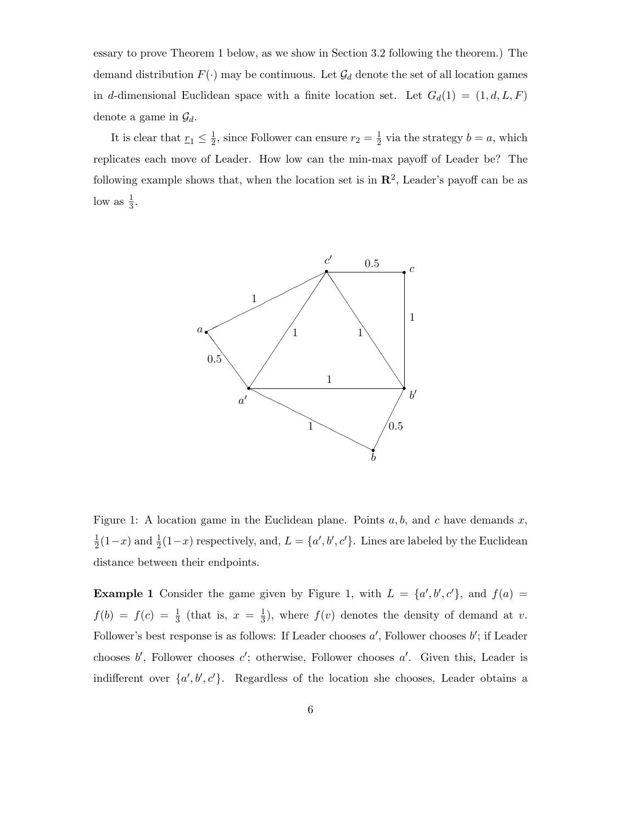essary to prove Theorem 1 below, as we show in Section 3.2 following the theorem.) The demand distribution  $F(\cdot)$  may be continuous. Let  $\mathcal{G}_d$  denote the set of all location games in d-dimensional Euclidean space with a finite location set. Let  $G_d(1) = (1, d, L, F)$ denote a game in  $\mathcal{G}_d$ .

It is clear that  $r_1 \leq \frac{1}{2}$  $\frac{1}{2}$ , since Follower can ensure  $r_2 = \frac{1}{2}$  $\frac{1}{2}$  via the strategy  $b = a$ , which replicates each move of Leader. How low can the min-max payoff of Leader be? The following example shows that, when the location set is in  $\mathbb{R}^2$ , Leader's payoff can be as low as  $\frac{1}{3}$ .



Figure 1: A location game in the Euclidean plane. Points  $a, b$ , and c have demands x, 1  $\frac{1}{2}(1-x)$  and  $\frac{1}{2}(1-x)$  respectively, and,  $L = \{a', b', c'\}$ . Lines are labeled by the Euclidean distance between their endpoints.

**Example 1** Consider the game given by Figure 1, with  $L = \{a', b', c'\}$ , and  $f(a) =$  $f(b) = f(c) = \frac{1}{3}$  (that is,  $x = \frac{1}{3}$ )  $\frac{1}{3}$ , where  $f(v)$  denotes the density of demand at v. Follower's best response is as follows: If Leader chooses  $a'$ , Follower chooses  $b'$ ; if Leader chooses  $b'$ , Follower chooses  $c'$ ; otherwise, Follower chooses  $a'$ . Given this, Leader is indifferent over  $\{a', b', c'\}$ . Regardless of the location she chooses, Leader obtains a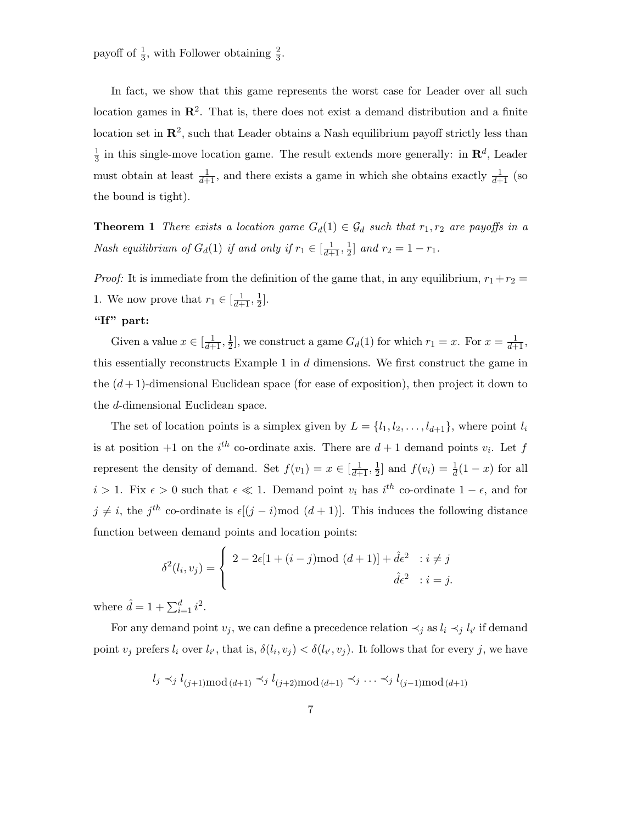payoff of  $\frac{1}{3}$ , with Follower obtaining  $\frac{2}{3}$ .

In fact, we show that this game represents the worst case for Leader over all such location games in  $\mathbb{R}^2$ . That is, there does not exist a demand distribution and a finite location set in  $\mathbb{R}^2$ , such that Leader obtains a Nash equilibrium payoff strictly less than 1  $\frac{1}{3}$  in this single-move location game. The result extends more generally: in  $\mathbb{R}^d$ , Leader must obtain at least  $\frac{1}{d+1}$ , and there exists a game in which she obtains exactly  $\frac{1}{d+1}$  (so the bound is tight).

**Theorem 1** There exists a location game  $G_d(1) \in \mathcal{G}_d$  such that  $r_1, r_2$  are payoffs in a Nash equilibrium of  $G_d(1)$  if and only if  $r_1 \in [\frac{1}{d+1}, \frac{1}{2}]$  $\frac{1}{2}$  and  $r_2 = 1 - r_1$ .

*Proof:* It is immediate from the definition of the game that, in any equilibrium,  $r_1 + r_2 =$ 1. We now prove that  $r_1 \in \left[\frac{1}{d+1}, \frac{1}{2}\right]$  $\frac{1}{2}$ .

## "If" part:

Given a value  $x \in [\frac{1}{d+1}, \frac{1}{2}]$  $\frac{1}{2}$ , we construct a game  $G_d(1)$  for which  $r_1 = x$ . For  $x = \frac{1}{d+1}$ , this essentially reconstructs Example 1 in  $d$  dimensions. We first construct the game in the  $(d+1)$ -dimensional Euclidean space (for ease of exposition), then project it down to the d-dimensional Euclidean space.

The set of location points is a simplex given by  $L = \{l_1, l_2, \ldots, l_{d+1}\}\$ , where point  $l_i$ is at position +1 on the  $i^{th}$  co-ordinate axis. There are  $d+1$  demand points  $v_i$ . Let f represent the density of demand. Set  $f(v_1) = x \in [\frac{1}{d+1}, \frac{1}{2}]$  $\frac{1}{2}$  and  $f(v_i) = \frac{1}{d}(1-x)$  for all  $i > 1$ . Fix  $\epsilon > 0$  such that  $\epsilon \ll 1$ . Demand point  $v_i$  has  $i^{th}$  co-ordinate  $1 - \epsilon$ , and for  $j \neq i$ , the  $j<sup>th</sup>$  co-ordinate is  $\epsilon[(j - i) \mod (d + 1)]$ . This induces the following distance function between demand points and location points:

$$
\delta^2(l_i, v_j) = \begin{cases}\n2 - 2\epsilon[1 + (i - j) \mod (d + 1)] + \hat{d}\epsilon^2 & \text{if } i \neq j \\
\hat{d}\epsilon^2 & \text{if } i = j.\n\end{cases}
$$

where  $\hat{d} = 1 + \sum_{i=1}^{d} i^2$ .

For any demand point  $v_j$ , we can define a precedence relation  $\prec_j$  as  $l_i \prec_j l_{i'}$  if demand point  $v_j$  prefers  $l_i$  over  $l_{i'}$ , that is,  $\delta(l_i, v_j) < \delta(l_{i'}, v_j)$ . It follows that for every j, we have

$$
l_j \prec_j l_{(j+1)\text{mod } (d+1)} \prec_j l_{(j+2)\text{mod } (d+1)} \prec_j \cdots \prec_j l_{(j-1)\text{mod } (d+1)}
$$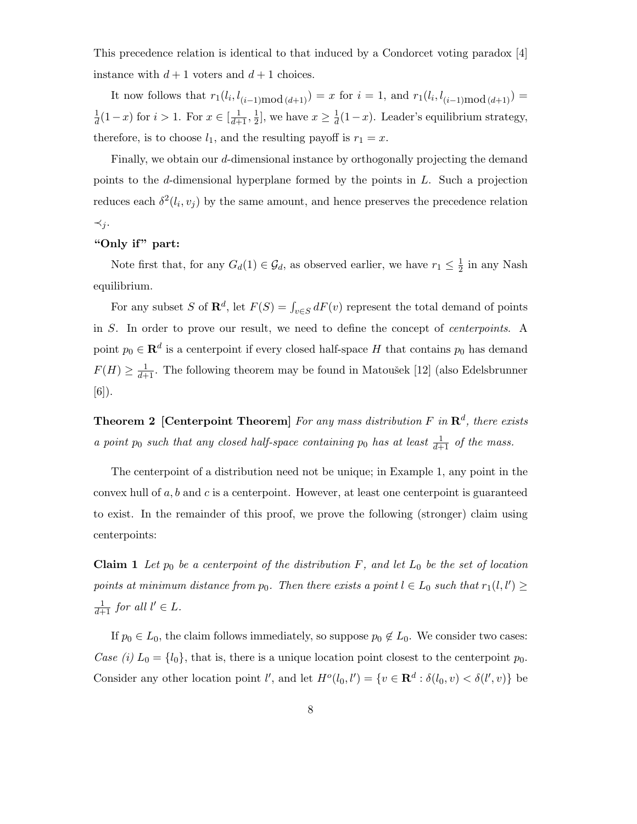This precedence relation is identical to that induced by a Condorcet voting paradox [4] instance with  $d+1$  voters and  $d+1$  choices.

It now follows that  $r_1(l_i, l_{(i-1)mod (d+1)}) = x$  for  $i = 1$ , and  $r_1(l_i, l_{(i-1)mod (d+1)}) =$  $\frac{1}{d}(1-x)$  for  $i > 1$ . For  $x \in [\frac{1}{d+1}, \frac{1}{2}]$  $\frac{1}{2}$ , we have  $x \geq \frac{1}{d}(1-x)$ . Leader's equilibrium strategy, therefore, is to choose  $l_1$ , and the resulting payoff is  $r_1 = x$ .

Finally, we obtain our d-dimensional instance by orthogonally projecting the demand points to the d-dimensional hyperplane formed by the points in L. Such a projection reduces each  $\delta^2(l_i, v_j)$  by the same amount, and hence preserves the precedence relation  $\prec_j$ .

### "Only if" part:

Note first that, for any  $G_d(1) \in \mathcal{G}_d$ , as observed earlier, we have  $r_1 \leq \frac{1}{2}$  $\frac{1}{2}$  in any Nash equilibrium.

For any subset S of  $\mathbf{R}^d$ , let  $F(S) = \int_{v \in S} dF(v)$  represent the total demand of points in S. In order to prove our result, we need to define the concept of centerpoints. A point  $p_0 \in \mathbf{R}^d$  is a centerpoint if every closed half-space H that contains  $p_0$  has demand  $F(H) \geq \frac{1}{d+1}$ . The following theorem may be found in Matoušek [12] (also Edelsbrunner [6]).

**Theorem 2** [Centerpoint Theorem] For any mass distribution F in  $\mathbb{R}^d$ , there exists a point  $p_0$  such that any closed half-space containing  $p_0$  has at least  $\frac{1}{d+1}$  of the mass.

The centerpoint of a distribution need not be unique; in Example 1, any point in the convex hull of  $a, b$  and  $c$  is a centerpoint. However, at least one centerpoint is guaranteed to exist. In the remainder of this proof, we prove the following (stronger) claim using centerpoints:

**Claim 1** Let  $p_0$  be a centerpoint of the distribution F, and let  $L_0$  be the set of location points at minimum distance from  $p_0$ . Then there exists a point  $l \in L_0$  such that  $r_1(l, l') \geq$  $\frac{1}{d+1}$  for all  $l' \in L$ .

If  $p_0 \in L_0$ , the claim follows immediately, so suppose  $p_0 \notin L_0$ . We consider two cases: Case (i)  $L_0 = \{l_0\}$ , that is, there is a unique location point closest to the centerpoint  $p_0$ . Consider any other location point  $l'$ , and let  $H^o(l_0, l') = \{v \in \mathbb{R}^d : \delta(l_0, v) < \delta(l', v)\}\$ be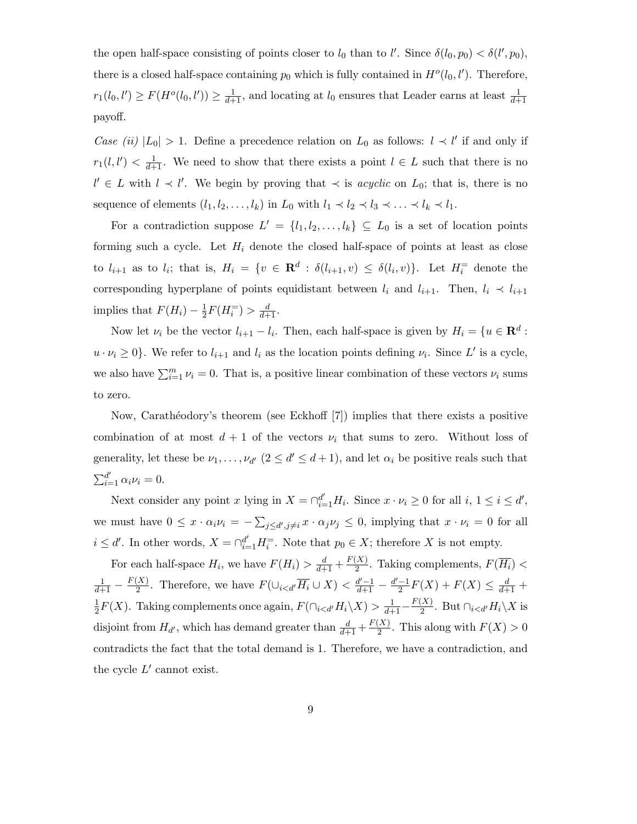the open half-space consisting of points closer to  $l_0$  than to  $l'$ . Since  $\delta(l_0, p_0) < \delta(l', p_0)$ , there is a closed half-space containing  $p_0$  which is fully contained in  $H^o(l_0, l')$ . Therefore,  $r_1(l_0, l') \ge F(H^o(l_0, l')) \ge \frac{1}{d+1}$ , and locating at  $l_0$  ensures that Leader earns at least  $\frac{1}{d+1}$ payoff.

Case (ii)  $|L_0| > 1$ . Define a precedence relation on  $L_0$  as follows:  $l \prec l'$  if and only if  $r_1(l, l') < \frac{1}{d+1}$ . We need to show that there exists a point  $l \in L$  such that there is no  $l' \in L$  with  $l \prec l'$ . We begin by proving that  $\prec$  is *acyclic* on  $L_0$ ; that is, there is no sequence of elements  $(l_1, l_2, \ldots, l_k)$  in  $L_0$  with  $l_1 \prec l_2 \prec l_3 \prec \ldots \prec l_k \prec l_1$ .

For a contradiction suppose  $L' = \{l_1, l_2, \ldots, l_k\} \subseteq L_0$  is a set of location points forming such a cycle. Let  $H_i$  denote the closed half-space of points at least as close to  $l_{i+1}$  as to  $l_i$ ; that is,  $H_i = \{v \in \mathbf{R}^d : \delta(l_{i+1}, v) \leq \delta(l_i, v)\}\$ . Let  $H_i^{\equiv}$  denote the corresponding hyperplane of points equidistant between  $l_i$  and  $l_{i+1}$ . Then,  $l_i \prec l_{i+1}$ implies that  $F(H_i) - \frac{1}{2}$  $\frac{1}{2}F(H_i^=) > \frac{d}{d+1}.$ 

Now let  $\nu_i$  be the vector  $l_{i+1} - l_i$ . Then, each half-space is given by  $H_i = \{u \in \mathbb{R}^d :$  $u \cdot \nu_i \geq 0$ . We refer to  $l_{i+1}$  and  $l_i$  as the location points defining  $\nu_i$ . Since L' is a cycle, we also have  $\sum_{i=1}^{m} \nu_i = 0$ . That is, a positive linear combination of these vectors  $\nu_i$  sums to zero.

Now, Carath´eodory's theorem (see Eckhoff [7]) implies that there exists a positive combination of at most  $d + 1$  of the vectors  $\nu_i$  that sums to zero. Without loss of generality, let these be  $\nu_1, \ldots, \nu_{d'}$   $(2 \le d' \le d+1)$ , and let  $\alpha_i$  be positive reals such that  $\sum_{i=1}^{d'} \alpha_i \nu_i = 0.$ 

Next consider any point x lying in  $X = \bigcap_{i=1}^{d'} H_i$ . Since  $x \cdot \nu_i \geq 0$  for all  $i, 1 \leq i \leq d'$ , we must have  $0 \leq x \cdot \alpha_i \nu_i = -\sum_{j \leq d', j \neq i} x \cdot \alpha_j \nu_j \leq 0$ , implying that  $x \cdot \nu_i = 0$  for all  $i \leq d'$ . In other words,  $X = \bigcap_{i=1}^{d'} H_i^=$ . Note that  $p_0 \in X$ ; therefore X is not empty.

For each half-space  $H_i$ , we have  $F(H_i) > \frac{d}{d+1} + \frac{F(X)}{2}$  $\frac{X}{2}$ . Taking complements,  $F(H_i)$  <  $\frac{1}{d+1} - \frac{F(X)}{2}$  $\frac{X}{2}$ . Therefore, we have  $F(\bigcup_{i < d'} \overline{H_i} \cup X) < \frac{d'-1}{d+1} - \frac{d'-1}{2}$  $\frac{-1}{2}F(X) + F(X) \leq \frac{d}{d+1} +$ 1  $\frac{1}{2}F(X)$ . Taking complements once again,  $F(\bigcap_{i \frac{1}{d+1}-\frac{F(X)}{2}$  $\frac{A}{2}$ . But  $\bigcap_{i < d'} H_i \backslash X$  is disjoint from  $H_{d'}$ , which has demand greater than  $\frac{d}{d+1} + \frac{F(X)}{2}$  $\frac{X}{2}$ . This along with  $F(X) > 0$ contradicts the fact that the total demand is 1. Therefore, we have a contradiction, and the cycle  $L'$  cannot exist.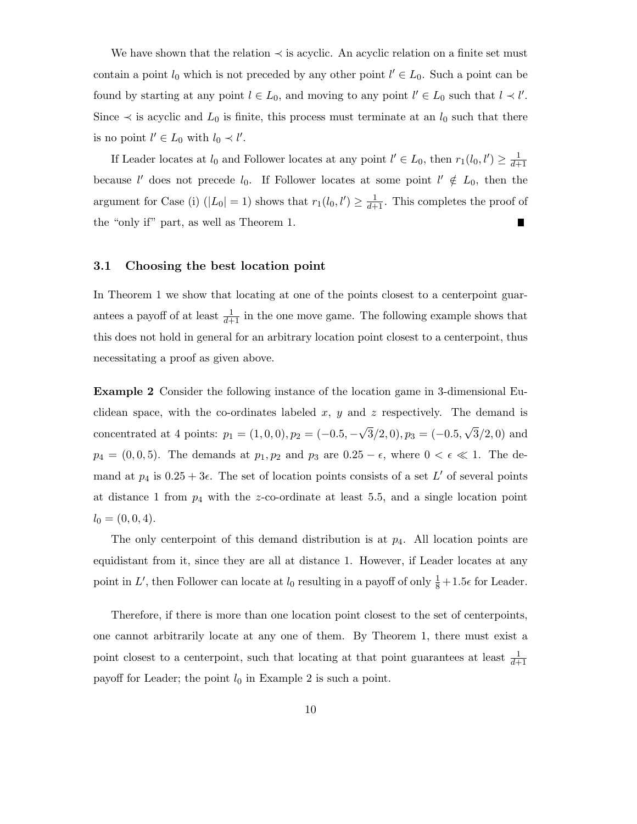We have shown that the relation  $\prec$  is acyclic. An acyclic relation on a finite set must contain a point  $l_0$  which is not preceded by any other point  $l' \in L_0$ . Such a point can be found by starting at any point  $l \in L_0$ , and moving to any point  $l' \in L_0$  such that  $l \prec l'$ . Since  $\prec$  is acyclic and  $L_0$  is finite, this process must terminate at an  $l_0$  such that there is no point  $l' \in L_0$  with  $l_0 \prec l'$ .

If Leader locates at  $l_0$  and Follower locates at any point  $l' \in L_0$ , then  $r_1(l_0, l') \geq \frac{1}{d+1}$ because  $l'$  does not precede  $l_0$ . If Follower locates at some point  $l' \notin L_0$ , then the argument for Case (i)  $(|L_0| = 1)$  shows that  $r_1(l_0, l') \geq \frac{1}{d+1}$ . This completes the proof of the "only if" part, as well as Theorem 1.

### 3.1 Choosing the best location point

In Theorem 1 we show that locating at one of the points closest to a centerpoint guarantees a payoff of at least  $\frac{1}{d+1}$  in the one move game. The following example shows that this does not hold in general for an arbitrary location point closest to a centerpoint, thus necessitating a proof as given above.

Example 2 Consider the following instance of the location game in 3-dimensional Euclidean space, with the co-ordinates labeled x, y and z respectively. The demand is concentrated at 4 points:  $p_1 = (1, 0, 0), p_2 = (-0.5, -\sqrt{3}/2, 0), p_3 = (-0.5, \sqrt{3}/2, 0)$  and  $p_4 = (0, 0, 5)$ . The demands at  $p_1, p_2$  and  $p_3$  are  $0.25 - \epsilon$ , where  $0 < \epsilon \ll 1$ . The demand at  $p_4$  is  $0.25 + 3\epsilon$ . The set of location points consists of a set L' of several points at distance 1 from  $p_4$  with the z-co-ordinate at least 5.5, and a single location point  $l_0 = (0, 0, 4).$ 

The only centerpoint of this demand distribution is at  $p_4$ . All location points are equidistant from it, since they are all at distance 1. However, if Leader locates at any point in L', then Follower can locate at  $l_0$  resulting in a payoff of only  $\frac{1}{8} + 1.5\epsilon$  for Leader.

Therefore, if there is more than one location point closest to the set of centerpoints, one cannot arbitrarily locate at any one of them. By Theorem 1, there must exist a point closest to a centerpoint, such that locating at that point guarantees at least  $\frac{1}{d+1}$ payoff for Leader; the point  $l_0$  in Example 2 is such a point.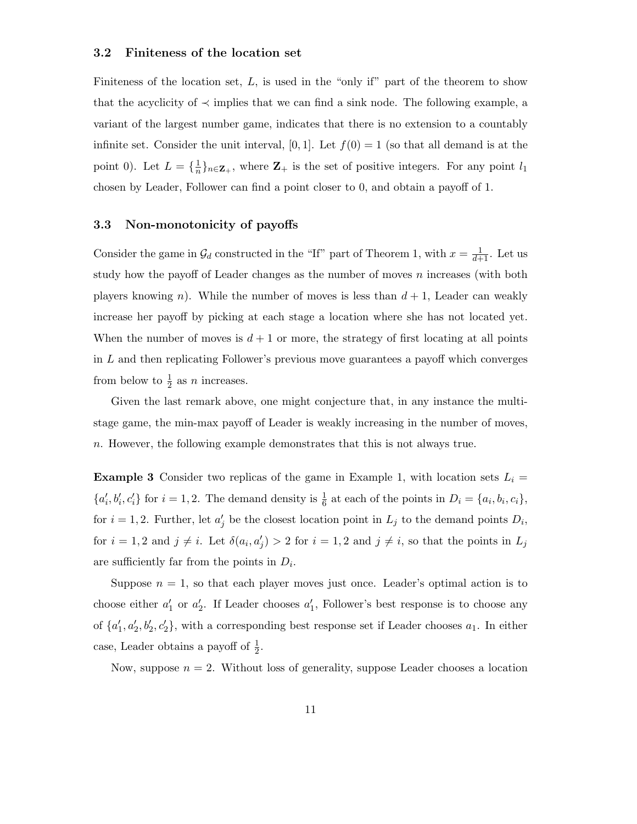### 3.2 Finiteness of the location set

Finiteness of the location set,  $L$ , is used in the "only if" part of the theorem to show that the acyclicity of  $\prec$  implies that we can find a sink node. The following example, a variant of the largest number game, indicates that there is no extension to a countably infinite set. Consider the unit interval, [0, 1]. Let  $f(0) = 1$  (so that all demand is at the point 0). Let  $L = {\frac{1}{n}}_{n \in \mathbb{Z}_+}$ , where  $\mathbb{Z}_+$  is the set of positive integers. For any point  $l_1$ chosen by Leader, Follower can find a point closer to 0, and obtain a payoff of 1.

### 3.3 Non-monotonicity of payoffs

Consider the game in  $\mathcal{G}_d$  constructed in the "If" part of Theorem 1, with  $x = \frac{1}{d+1}$ . Let us study how the payoff of Leader changes as the number of moves  $n$  increases (with both players knowing n). While the number of moves is less than  $d+1$ , Leader can weakly increase her payoff by picking at each stage a location where she has not located yet. When the number of moves is  $d+1$  or more, the strategy of first locating at all points in L and then replicating Follower's previous move guarantees a payoff which converges from below to  $\frac{1}{2}$  as *n* increases.

Given the last remark above, one might conjecture that, in any instance the multistage game, the min-max payoff of Leader is weakly increasing in the number of moves, n. However, the following example demonstrates that this is not always true.

**Example 3** Consider two replicas of the game in Example 1, with location sets  $L_i =$  $\{a'_i, b'_i, c'_i\}$  for  $i = 1, 2$ . The demand density is  $\frac{1}{6}$  at each of the points in  $D_i = \{a_i, b_i, c_i\}$ , for  $i = 1, 2$ . Further, let  $a'_j$  be the closest location point in  $L_j$  to the demand points  $D_i$ , for  $i = 1, 2$  and  $j \neq i$ . Let  $\delta(a_i, a'_j) > 2$  for  $i = 1, 2$  and  $j \neq i$ , so that the points in  $L_j$ are sufficiently far from the points in  $D_i$ .

Suppose  $n = 1$ , so that each player moves just once. Leader's optimal action is to choose either  $a'_1$  or  $a'_2$ . If Leader chooses  $a'_1$ , Follower's best response is to choose any of  $\{a'_1, a'_2, b'_2, c'_2\}$ , with a corresponding best response set if Leader chooses  $a_1$ . In either case, Leader obtains a payoff of  $\frac{1}{2}$ .

Now, suppose  $n = 2$ . Without loss of generality, suppose Leader chooses a location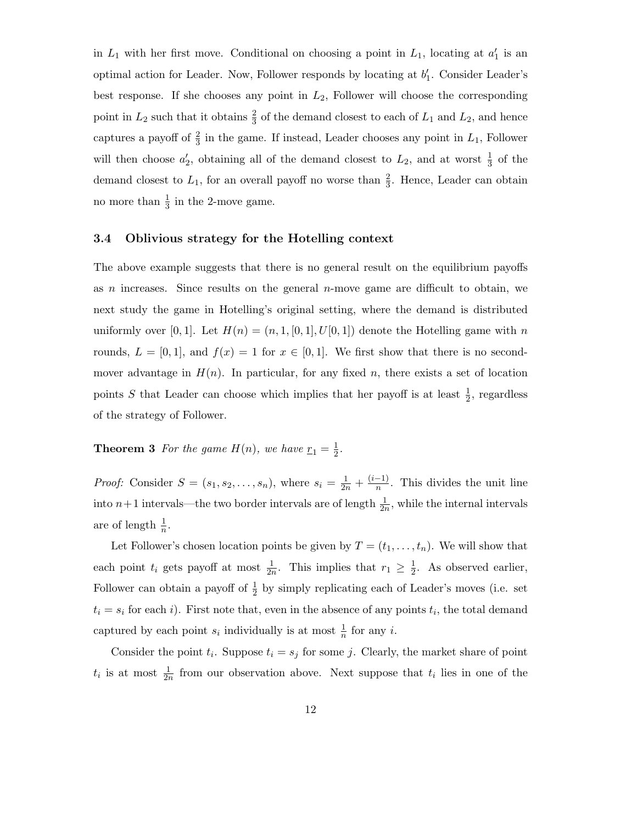in  $L_1$  with her first move. Conditional on choosing a point in  $L_1$ , locating at  $a'_1$  is an optimal action for Leader. Now, Follower responds by locating at  $b'_1$ . Consider Leader's best response. If she chooses any point in  $L_2$ , Follower will choose the corresponding point in  $L_2$  such that it obtains  $\frac{2}{3}$  of the demand closest to each of  $L_1$  and  $L_2$ , and hence captures a payoff of  $\frac{2}{3}$  in the game. If instead, Leader chooses any point in  $L_1$ , Follower will then choose  $a'_2$ , obtaining all of the demand closest to  $L_2$ , and at worst  $\frac{1}{3}$  of the demand closest to  $L_1$ , for an overall payoff no worse than  $\frac{2}{3}$ . Hence, Leader can obtain no more than  $\frac{1}{3}$  in the 2-move game.

### 3.4 Oblivious strategy for the Hotelling context

The above example suggests that there is no general result on the equilibrium payoffs as n increases. Since results on the general  $n$ -move game are difficult to obtain, we next study the game in Hotelling's original setting, where the demand is distributed uniformly over [0, 1]. Let  $H(n) = (n, 1, [0, 1], U[0, 1])$  denote the Hotelling game with n rounds,  $L = [0, 1]$ , and  $f(x) = 1$  for  $x \in [0, 1]$ . We first show that there is no secondmover advantage in  $H(n)$ . In particular, for any fixed n, there exists a set of location points S that Leader can choose which implies that her payoff is at least  $\frac{1}{2}$  $\frac{1}{2}$ , regardless of the strategy of Follower.

#### **Theorem 3** For the game  $H(n)$ , we have  $r_1 = \frac{1}{2}$  $\frac{1}{2}$ .

*Proof:* Consider  $S = (s_1, s_2, ..., s_n)$ , where  $s_i = \frac{1}{2n} + \frac{(i-1)}{n}$  $\frac{-1}{n}$ . This divides the unit line into  $n+1$  intervals—the two border intervals are of length  $\frac{1}{2n}$ , while the internal intervals are of length  $\frac{1}{n}$ .

Let Follower's chosen location points be given by  $T = (t_1, \ldots, t_n)$ . We will show that each point  $t_i$  gets payoff at most  $\frac{1}{2n}$ . This implies that  $r_1 \geq \frac{1}{2}$  $\frac{1}{2}$ . As observed earlier, Follower can obtain a payoff of  $\frac{1}{2}$  by simply replicating each of Leader's moves (i.e. set  $t_i = s_i$  for each i). First note that, even in the absence of any points  $t_i$ , the total demand captured by each point  $s_i$  individually is at most  $\frac{1}{n}$  for any *i*.

Consider the point  $t_i$ . Suppose  $t_i = s_j$  for some j. Clearly, the market share of point  $t_i$  is at most  $\frac{1}{2n}$  from our observation above. Next suppose that  $t_i$  lies in one of the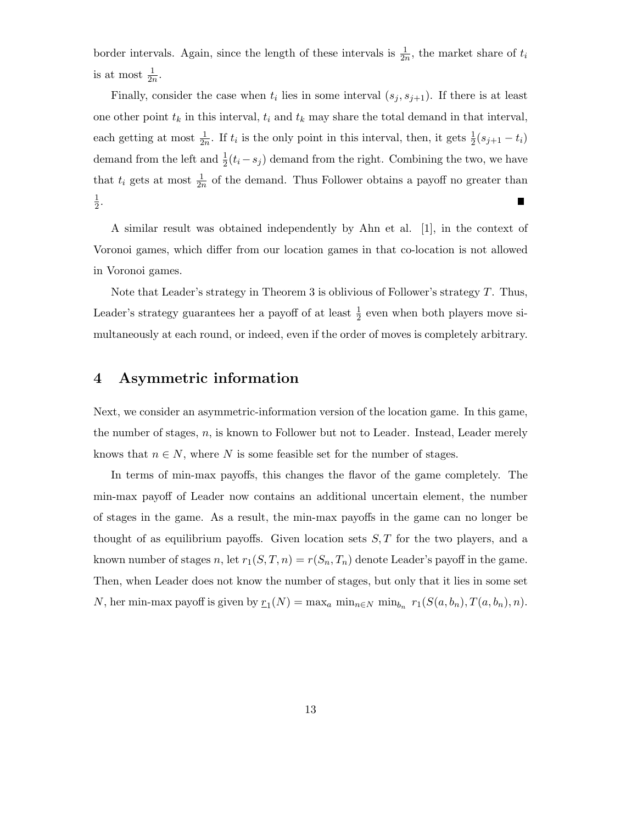border intervals. Again, since the length of these intervals is  $\frac{1}{2n}$ , the market share of  $t_i$ is at most  $\frac{1}{2n}$ .

Finally, consider the case when  $t_i$  lies in some interval  $(s_j, s_{j+1})$ . If there is at least one other point  $t_k$  in this interval,  $t_i$  and  $t_k$  may share the total demand in that interval, each getting at most  $\frac{1}{2n}$ . If  $t_i$  is the only point in this interval, then, it gets  $\frac{1}{2}(s_{j+1}-t_i)$ demand from the left and  $\frac{1}{2}(t_i - s_j)$  demand from the right. Combining the two, we have that  $t_i$  gets at most  $\frac{1}{2n}$  of the demand. Thus Follower obtains a payoff no greater than 1  $\frac{1}{2}$ . Г

A similar result was obtained independently by Ahn et al. [1], in the context of Voronoi games, which differ from our location games in that co-location is not allowed in Voronoi games.

Note that Leader's strategy in Theorem 3 is oblivious of Follower's strategy T. Thus, Leader's strategy guarantees her a payoff of at least  $\frac{1}{2}$  even when both players move simultaneously at each round, or indeed, even if the order of moves is completely arbitrary.

## 4 Asymmetric information

Next, we consider an asymmetric-information version of the location game. In this game, the number of stages,  $n$ , is known to Follower but not to Leader. Instead, Leader merely knows that  $n \in N$ , where N is some feasible set for the number of stages.

In terms of min-max payoffs, this changes the flavor of the game completely. The min-max payoff of Leader now contains an additional uncertain element, the number of stages in the game. As a result, the min-max payoffs in the game can no longer be thought of as equilibrium payoffs. Given location sets  $S, T$  for the two players, and a known number of stages n, let  $r_1(S, T, n) = r(S_n, T_n)$  denote Leader's payoff in the game. Then, when Leader does not know the number of stages, but only that it lies in some set N, her min-max payoff is given by  $r_1(N) = \max_a \min_{n \in N} \min_{b_n} r_1(S(a, b_n), T(a, b_n), n)$ .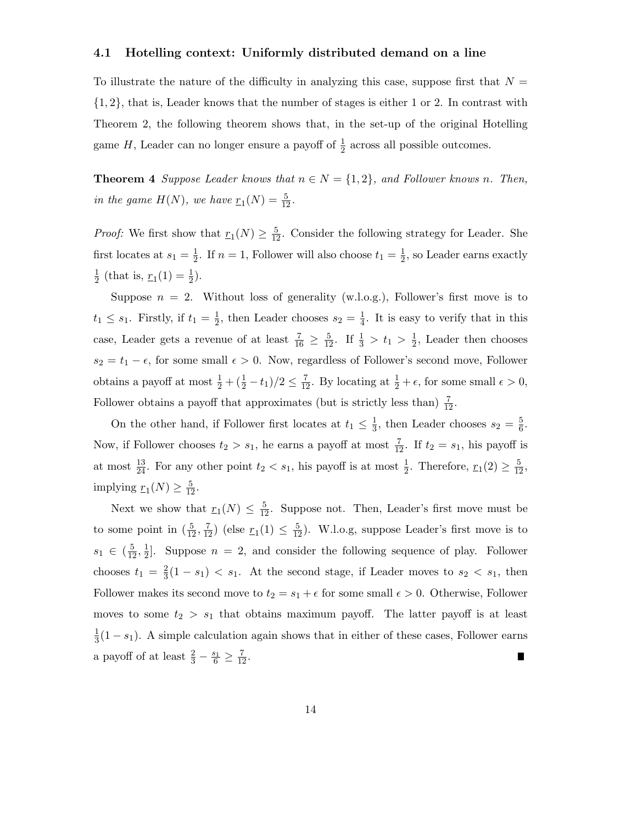### 4.1 Hotelling context: Uniformly distributed demand on a line

To illustrate the nature of the difficulty in analyzing this case, suppose first that  $N =$ {1, 2}, that is, Leader knows that the number of stages is either 1 or 2. In contrast with Theorem 2, the following theorem shows that, in the set-up of the original Hotelling game  $H$ , Leader can no longer ensure a payoff of  $\frac{1}{2}$  across all possible outcomes.

**Theorem 4** Suppose Leader knows that  $n \in N = \{1, 2\}$ , and Follower knows n. Then, in the game  $H(N)$ , we have  $r_1(N) = \frac{5}{12}$ .

*Proof:* We first show that  $\underline{r}_1(N) \geq \frac{5}{12}$ . Consider the following strategy for Leader. She first locates at  $s_1 = \frac{1}{2}$  $\frac{1}{2}$ . If  $n = 1$ , Follower will also choose  $t_1 = \frac{1}{2}$  $\frac{1}{2}$ , so Leader earns exactly 1  $\frac{1}{2}$  (that is,  $r_1(1) = \frac{1}{2}$ ).

Suppose  $n = 2$ . Without loss of generality (w.l.o.g.), Follower's first move is to  $t_1 \leq s_1$ . Firstly, if  $t_1 = \frac{1}{2}$  $\frac{1}{2}$ , then Leader chooses  $s_2 = \frac{1}{4}$  $\frac{1}{4}$ . It is easy to verify that in this case, Leader gets a revenue of at least  $\frac{7}{16} \geq \frac{5}{12}$ . If  $\frac{1}{3} > t_1 > \frac{1}{2}$  $\frac{1}{2}$ , Leader then chooses  $s_2 = t_1 - \epsilon$ , for some small  $\epsilon > 0$ . Now, regardless of Follower's second move, Follower obtains a payoff at most  $\frac{1}{2} + (\frac{1}{2} - t_1)/2 \le \frac{7}{12}$ . By locating at  $\frac{1}{2} + \epsilon$ , for some small  $\epsilon > 0$ , Follower obtains a payoff that approximates (but is strictly less than)  $\frac{7}{12}$ .

On the other hand, if Follower first locates at  $t_1 \n\t\leq \frac{1}{3}$  $\frac{1}{3}$ , then Leader chooses  $s_2 = \frac{5}{6}$  $\frac{5}{6}$ . Now, if Follower chooses  $t_2 > s_1$ , he earns a payoff at most  $\frac{7}{12}$ . If  $t_2 = s_1$ , his payoff is at most  $\frac{13}{24}$ . For any other point  $t_2 < s_1$ , his payoff is at most  $\frac{1}{2}$ . Therefore,  $\underline{r}_1(2) \ge \frac{5}{12}$ , implying  $r_1(N) \geq \frac{5}{12}$ .

Next we show that  $r_1(N) \leq \frac{5}{12}$ . Suppose not. Then, Leader's first move must be to some point in  $(\frac{5}{12}, \frac{7}{12})$  (else  $r_1(1) \leq \frac{5}{12}$ ). W.l.o.g, suppose Leader's first move is to  $s_1 \in (\frac{5}{12},\frac{1}{2})$  $\frac{1}{2}$ . Suppose  $n = 2$ , and consider the following sequence of play. Follower chooses  $t_1 = \frac{2}{3}$  $\frac{2}{3}(1-s_1) < s_1$ . At the second stage, if Leader moves to  $s_2 < s_1$ , then Follower makes its second move to  $t_2 = s_1 + \epsilon$  for some small  $\epsilon > 0$ . Otherwise, Follower moves to some  $t_2 > s_1$  that obtains maximum payoff. The latter payoff is at least 1  $\frac{1}{3}(1-s_1)$ . A simple calculation again shows that in either of these cases, Follower earns a payoff of at least  $\frac{2}{3} - \frac{s_1}{6} \geq \frac{7}{12}$ . ∎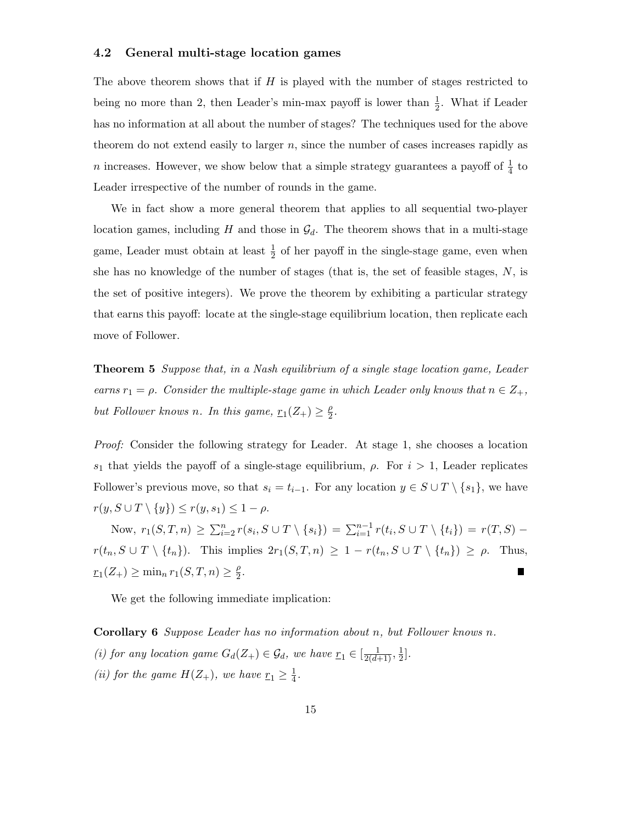### 4.2 General multi-stage location games

The above theorem shows that if  $H$  is played with the number of stages restricted to being no more than 2, then Leader's min-max payoff is lower than  $\frac{1}{2}$ . What if Leader has no information at all about the number of stages? The techniques used for the above theorem do not extend easily to larger  $n$ , since the number of cases increases rapidly as n increases. However, we show below that a simple strategy guarantees a payoff of  $\frac{1}{4}$  to Leader irrespective of the number of rounds in the game.

We in fact show a more general theorem that applies to all sequential two-player location games, including H and those in  $\mathcal{G}_d$ . The theorem shows that in a multi-stage game, Leader must obtain at least  $\frac{1}{2}$  of her payoff in the single-stage game, even when she has no knowledge of the number of stages (that is, the set of feasible stages,  $N$ , is the set of positive integers). We prove the theorem by exhibiting a particular strategy that earns this payoff: locate at the single-stage equilibrium location, then replicate each move of Follower.

**Theorem 5** Suppose that, in a Nash equilibrium of a single stage location game, Leader earns  $r_1 = \rho$ . Consider the multiple-stage game in which Leader only knows that  $n \in Z_+$ , but Follower knows n. In this game,  $\underline{r}_1(Z_+) \geq \frac{\rho}{2}$  $\frac{\rho}{2}$ .

Proof: Consider the following strategy for Leader. At stage 1, she chooses a location s<sub>1</sub> that yields the payoff of a single-stage equilibrium,  $\rho$ . For  $i > 1$ , Leader replicates Follower's previous move, so that  $s_i = t_{i-1}$ . For any location  $y \in S \cup T \setminus \{s_1\}$ , we have  $r(y, S \cup T \setminus \{y\}) \leq r(y, s_1) \leq 1 - \rho.$ 

Now,  $r_1(S, T, n) \ge \sum_{i=2}^n r(s_i, S \cup T \setminus \{s_i\}) = \sum_{i=1}^{n-1} r(t_i, S \cup T \setminus \{t_i\}) = r(T, S)$  $r(t_n, S \cup T \setminus \{t_n\}).$  This implies  $2r_1(S, T, n) \geq 1 - r(t_n, S \cup T \setminus \{t_n\}) \geq \rho$ . Thus,  $r_1(Z_+) \ge \min_n r_1(S,T,n) \ge \frac{\rho}{2}$  $\frac{\rho}{2}$ . ▋

We get the following immediate implication:

Corollary 6 Suppose Leader has no information about n, but Follower knows n. (i) for any location game  $G_d(Z_+) \in \mathcal{G}_d$ , we have  $\underline{r}_1 \in [\frac{1}{2(d+1)}, \frac{1}{2}]$  $\frac{1}{2}$ . (ii) for the game  $H(Z_+)$ , we have  $\underline{r}_1 \geq \frac{1}{4}$  $\frac{1}{4}$ .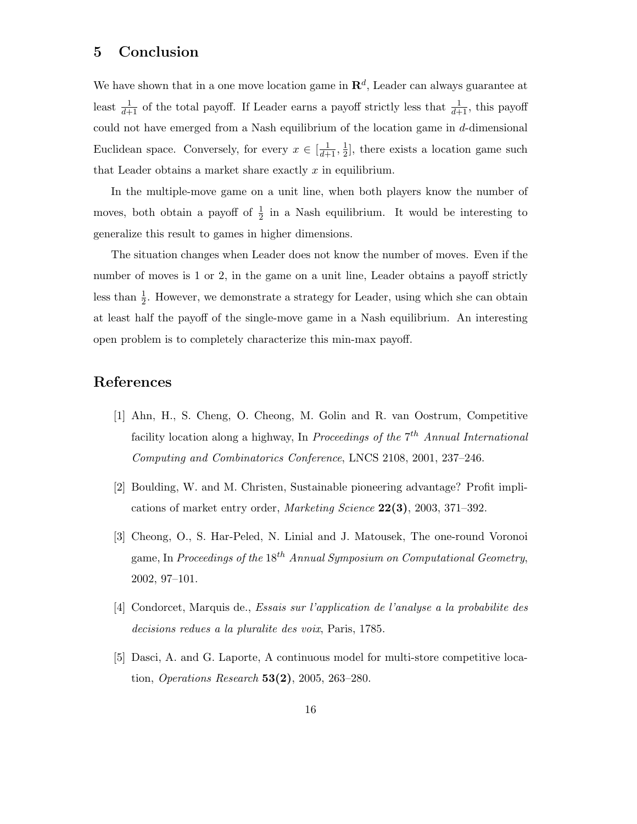# 5 Conclusion

We have shown that in a one move location game in  $\mathbf{R}^d$ , Leader can always guarantee at least  $\frac{1}{d+1}$  of the total payoff. If Leader earns a payoff strictly less that  $\frac{1}{d+1}$ , this payoff could not have emerged from a Nash equilibrium of the location game in d-dimensional Euclidean space. Conversely, for every  $x \in \left[\frac{1}{d+1}, \frac{1}{2}\right]$  $\frac{1}{2}$ , there exists a location game such that Leader obtains a market share exactly  $x$  in equilibrium.

In the multiple-move game on a unit line, when both players know the number of moves, both obtain a payoff of  $\frac{1}{2}$  in a Nash equilibrium. It would be interesting to generalize this result to games in higher dimensions.

The situation changes when Leader does not know the number of moves. Even if the number of moves is 1 or 2, in the game on a unit line, Leader obtains a payoff strictly less than  $\frac{1}{2}$ . However, we demonstrate a strategy for Leader, using which she can obtain at least half the payoff of the single-move game in a Nash equilibrium. An interesting open problem is to completely characterize this min-max payoff.

# References

- [1] Ahn, H., S. Cheng, O. Cheong, M. Golin and R. van Oostrum, Competitive facility location along a highway, In Proceedings of the  $7^{th}$  Annual International Computing and Combinatorics Conference, LNCS 2108, 2001, 237–246.
- [2] Boulding, W. and M. Christen, Sustainable pioneering advantage? Profit implications of market entry order, Marketing Science 22(3), 2003, 371–392.
- [3] Cheong, O., S. Har-Peled, N. Linial and J. Matousek, The one-round Voronoi game, In Proceedings of the  $18^{th}$  Annual Symposium on Computational Geometry, 2002, 97–101.
- [4] Condorcet, Marquis de., Essais sur l'application de l'analyse a la probabilite des decisions redues a la pluralite des voix, Paris, 1785.
- [5] Dasci, A. and G. Laporte, A continuous model for multi-store competitive location, *Operations Research*  $53(2)$ , 2005, 263–280.